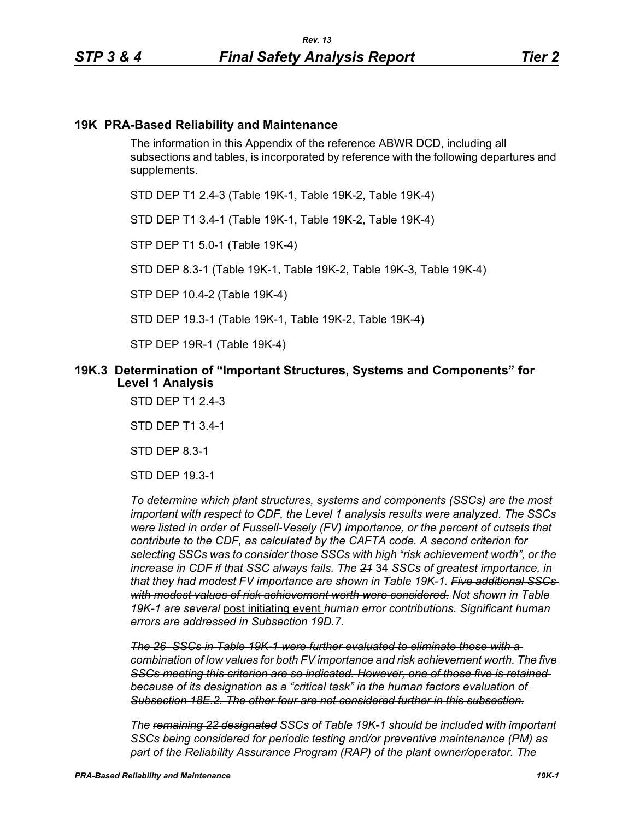## **19K PRA-Based Reliability and Maintenance**

The information in this Appendix of the reference ABWR DCD, including all subsections and tables, is incorporated by reference with the following departures and supplements.

STD DEP T1 2.4-3 (Table 19K-1, Table 19K-2, Table 19K-4)

STD DEP T1 3.4-1 (Table 19K-1, Table 19K-2, Table 19K-4)

STP DEP T1 5.0-1 (Table 19K-4)

STD DEP 8.3-1 (Table 19K-1, Table 19K-2, Table 19K-3, Table 19K-4)

STP DEP 10.4-2 (Table 19K-4)

STD DEP 19.3-1 (Table 19K-1, Table 19K-2, Table 19K-4)

STP DEP 19R-1 (Table 19K-4)

### **19K.3 Determination of "Important Structures, Systems and Components" for Level 1 Analysis**

STD DEP T1 2.4-3

STD DEP T1 3.4-1

STD DEP 8.3-1

STD DEP 19.3-1

*To determine which plant structures, systems and components (SSCs) are the most important with respect to CDF, the Level 1 analysis results were analyzed. The SSCs were listed in order of Fussell-Vesely (FV) importance, or the percent of cutsets that contribute to the CDF, as calculated by the CAFTA code. A second criterion for selecting SSCs was to consider those SSCs with high "risk achievement worth", or the increase in CDF if that SSC always fails. The 21* 34 *SSCs of greatest importance, in that they had modest FV importance are shown in Table 19K-1. Five additional SSCs with modest values of risk achievement worth were considered. Not shown in Table 19K-1 are several* post initiating event *human error contributions. Significant human errors are addressed in Subsection 19D.7.*

*The 26 SSCs in Table 19K-1 were further evaluated to eliminate those with a combination of low values for both FV importance and risk achievement worth. The five SSCs meeting this criterion are so indicated. However, one of those five is retained because of its designation as a "critical task" in the human factors evaluation of Subsection 18E.2. The other four are not considered further in this subsection.*

*The remaining 22 designated SSCs of Table 19K-1 should be included with important SSCs being considered for periodic testing and/or preventive maintenance (PM) as part of the Reliability Assurance Program (RAP) of the plant owner/operator. The*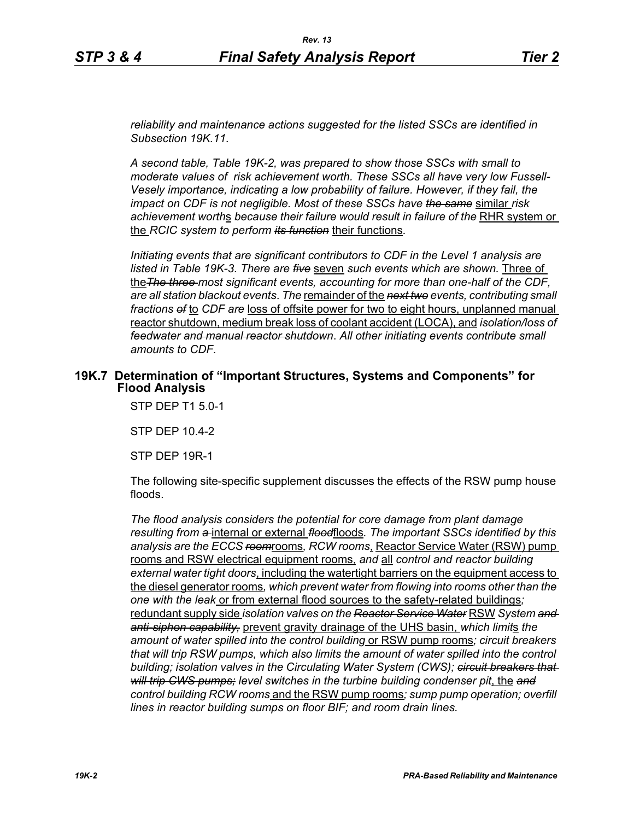*reliability and maintenance actions suggested for the listed SSCs are identified in Subsection 19K.11.*

*A second table, Table 19K-2, was prepared to show those SSCs with small to moderate values of risk achievement worth. These SSCs all have very low Fussell-Vesely importance, indicating a low probability of failure. However, if they fail, the impact on CDF is not negligible. Most of these SSCs have the same* similar *risk achievement worth*s *because their failure would result in failure of the* RHR system or the *RCIC system to perform its function* their functions*.*

*Initiating events that are significant contributors to CDF in the Level 1 analysis are listed in Table 19K-3. There are five* seven *such events which are shown.* Three of the*The three most significant events, accounting for more than one-half of the CDF, are all station blackout events*. *The* remainder of the *next two events, contributing small fractions of* to *CDF are* loss of offsite power for two to eight hours, unplanned manual reactor shutdown, medium break loss of coolant accident (LOCA), and *isolation/loss of feedwater and manual reactor shutdown*. *All other initiating events contribute small amounts to CDF.*

### **19K.7 Determination of "Important Structures, Systems and Components" for Flood Analysis**

STP DEP T1 5.0-1

STP DEP 10.4-2

STP DEP 19R-1

The following site-specific supplement discusses the effects of the RSW pump house floods.

*The flood analysis considers the potential for core damage from plant damage resulting from a* internal or external *flood*floods*. The important SSCs identified by this analysis are the ECCS room*rooms*, RCW rooms*, Reactor Service Water (RSW) pump rooms and RSW electrical equipment rooms, *and* all *control and reactor building external water tight doors*, including the watertight barriers on the equipment access to the diesel generator rooms*, which prevent water from flowing into rooms other than the one with the leak* or from external flood sources to the safety-related buildings*;*  redundant supply side *isolation valves on the Reactor Service Water* RSW *System and anti-siphon capability,* prevent gravity drainage of the UHS basin, *which limit*s *the amount of water spilled into the control building* or RSW pump rooms*; circuit breakers that will trip RSW pumps, which also limits the amount of water spilled into the control building; isolation valves in the Circulating Water System (CWS); circuit breakers that will trip CWS pumps; level switches in the turbine building condenser pit*, the *and control building RCW rooms* and the RSW pump rooms*; sump pump operation; overfill lines in reactor building sumps on floor BIF; and room drain lines.*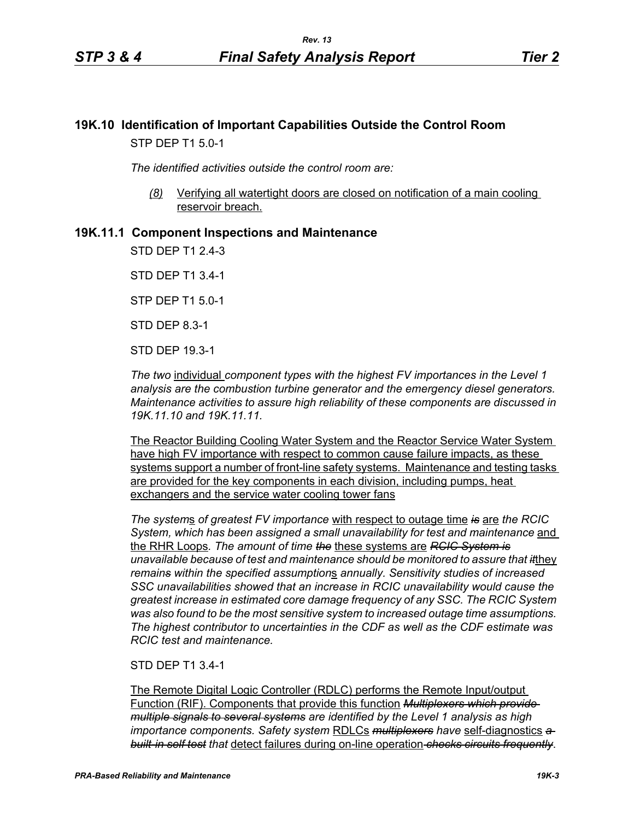# **19K.10 Identification of Important Capabilities Outside the Control Room** STP DEP T1 5.0-1

*The identified activities outside the control room are:*

*(8)* Verifying all watertight doors are closed on notification of a main cooling reservoir breach.

## **19K.11.1 Component Inspections and Maintenance**

STD DEP T1 2.4-3

STD DEP T1 3.4-1

STP DEP T1 5.0-1

STD DEP 8.3-1

STD DEP 19.3-1

*The two* individual *component types with the highest FV importances in the Level 1 analysis are the combustion turbine generator and the emergency diesel generators. Maintenance activities to assure high reliability of these components are discussed in 19K.11.10 and 19K.11.11.*

The Reactor Building Cooling Water System and the Reactor Service Water System have high FV importance with respect to common cause failure impacts, as these systems support a number of front-line safety systems. Maintenance and testing tasks are provided for the key components in each division, including pumps, heat exchangers and the service water cooling tower fans

*The system*s *of greatest FV importance* with respect to outage time *is* are *the RCIC System, which has been assigned a small unavailability for test and maintenance* and the RHR Loops*. The amount of time the* these systems are *RCIC System is unavailable because of test and maintenance should be monitored to assure that it*they *remains within the specified assumption*s *annually. Sensitivity studies of increased SSC unavailabilities showed that an increase in RCIC unavailability would cause the greatest increase in estimated core damage frequency of any SSC. The RCIC System was also found to be the most sensitive system to increased outage time assumptions. The highest contributor to uncertainties in the CDF as well as the CDF estimate was RCIC test and maintenance.*

#### STD DEP T1 3.4-1

The Remote Digital Logic Controller (RDLC) performs the Remote Input/output Function (RIF). Components that provide this function *Multiplexers which provide multiple signals to several systems are identified by the Level 1 analysis as high importance components. Safety system* RDLCs *multiplexers have* self-diagnostics *a built-in self test that* detect failures during on-line operation *checks circuits frequently*.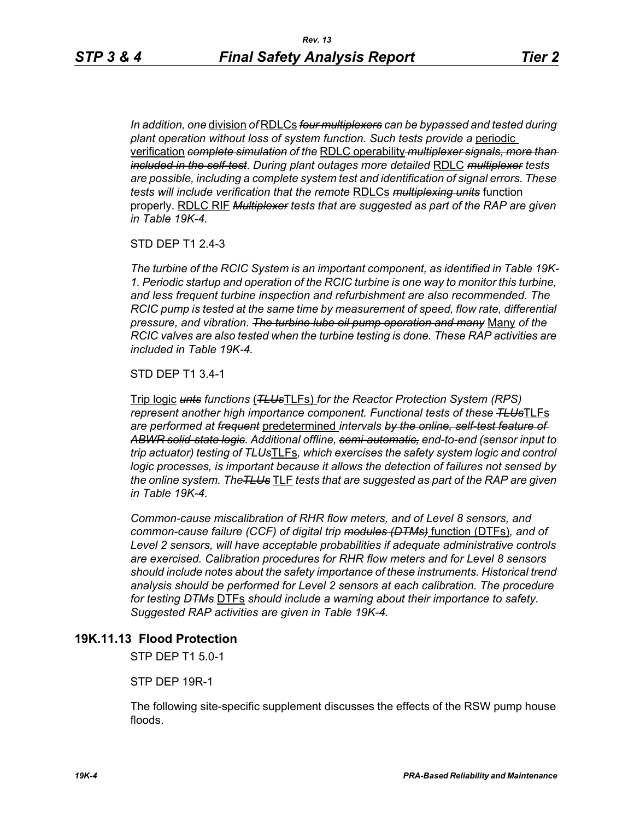*In addition, one* division *of* RDLCs *four multiplexers can be bypassed and tested during plant operation without loss of system function. Such tests provide a* periodic verification *complete simulation of the* RDLC operability *multiplexer signals, more than included in the self-test*. *During plant outages more detailed* RDLC *multiplexer tests are possible, including a complete system test and identification of signal errors. These tests will include verification that the remote* RDLCs *multiplexing units* function properly. RDLC RIF *Multiplexer tests that are suggested as part of the RAP are given in Table 19K-4.*

#### STD DEP T1 2.4-3

*The turbine of the RCIC System is an important component, as identified in Table 19K-1. Periodic startup and operation of the RCIC turbine is one way to monitor this turbine, and less frequent turbine inspection and refurbishment are also recommended. The RCIC pump is tested at the same time by measurement of speed, flow rate, differential pressure, and vibration. The turbine lube oil pump operation and many* Many *of the RCIC valves are also tested when the turbine testing is done. These RAP activities are included in Table 19K-4.*

STD DEP T1 3.4-1

Trip logic *unts functions* (*TLUs*TLFs) *for the Reactor Protection System (RPS) represent another high importance component. Functional tests of these TLUs*TLFs *are performed at frequent* predetermined *intervals by the online, self-test feature of ABWR solid-state logic. Additional offline, semi-automatic, end-to-end (sensor input to trip actuator) testing of TLUs*TLFs*, which exercises the safety system logic and control logic processes, is important because it allows the detection of failures not sensed by the online system. TheTLUs* TLF *tests that are suggested as part of the RAP are given in Table 19K-4.* 

*Common-cause miscalibration of RHR flow meters, and of Level 8 sensors, and common-cause failure (CCF) of digital trip modules (DTMs)* function (DTFs)*, and of Level 2 sensors, will have acceptable probabilities if adequate administrative controls are exercised. Calibration procedures for RHR flow meters and for Level 8 sensors should include notes about the safety importance of these instruments. Historical trend analysis should be performed for Level 2 sensors at each calibration. The procedure for testing DTMs* DTFs *should include a warning about their importance to safety. Suggested RAP activities are given in Table 19K-4.*

### **19K.11.13 Flood Protection**

STP DEP T1 5.0-1

STP DEP 19R-1

The following site-specific supplement discusses the effects of the RSW pump house floods.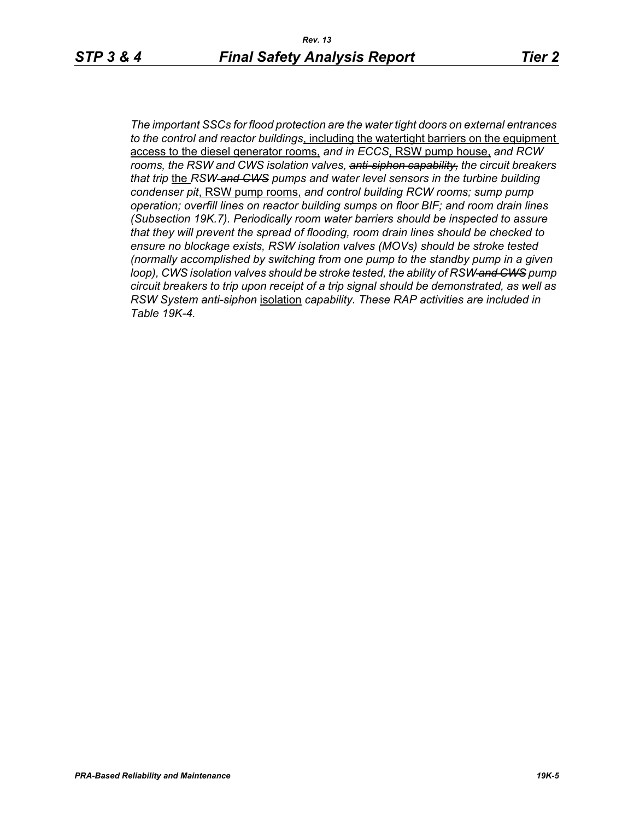*The important SSCs for flood protection are the water tight doors on external entrances to the control and reactor buildings*, including the watertight barriers on the equipment access to the diesel generator rooms, *and in ECCS*, RSW pump house, *and RCW rooms, the RSW and CWS isolation valves, anti-siphon capability, the circuit breakers that trip* the *RSW and CWS pumps and water level sensors in the turbine building condenser pit*, RSW pump rooms, *and control building RCW rooms; sump pump operation; overfill lines on reactor building sumps on floor BIF; and room drain lines (Subsection 19K.7). Periodically room water barriers should be inspected to assure that they will prevent the spread of flooding, room drain lines should be checked to ensure no blockage exists, RSW isolation valves (MOVs) should be stroke tested (normally accomplished by switching from one pump to the standby pump in a given loop), CWS isolation valves should be stroke tested, the ability of RSW and CWS pump circuit breakers to trip upon receipt of a trip signal should be demonstrated, as well as RSW System anti-siphon* isolation *capability. These RAP activities are included in Table 19K-4.*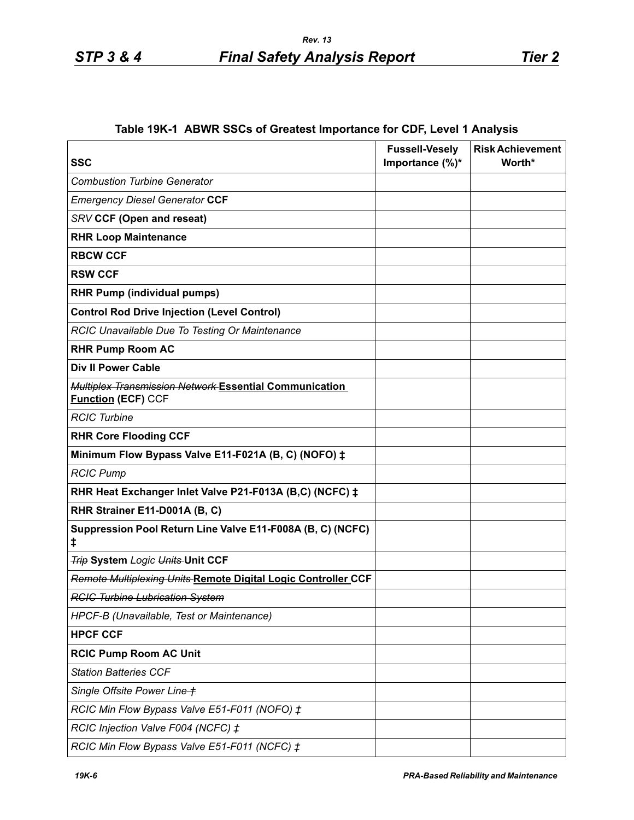# **Table 19K-1 ABWR SSCs of Greatest Importance for CDF, Level 1 Analysis**

| <b>SSC</b>                                                                          | <b>Fussell-Vesely</b><br>Importance (%)* | <b>Risk Achievement</b><br>Worth* |
|-------------------------------------------------------------------------------------|------------------------------------------|-----------------------------------|
| <b>Combustion Turbine Generator</b>                                                 |                                          |                                   |
| <b>Emergency Diesel Generator CCF</b>                                               |                                          |                                   |
| SRV CCF (Open and reseat)                                                           |                                          |                                   |
| <b>RHR Loop Maintenance</b>                                                         |                                          |                                   |
| <b>RBCW CCF</b>                                                                     |                                          |                                   |
| <b>RSW CCF</b>                                                                      |                                          |                                   |
| <b>RHR Pump (individual pumps)</b>                                                  |                                          |                                   |
| <b>Control Rod Drive Injection (Level Control)</b>                                  |                                          |                                   |
| RCIC Unavailable Due To Testing Or Maintenance                                      |                                          |                                   |
| <b>RHR Pump Room AC</b>                                                             |                                          |                                   |
| <b>Div II Power Cable</b>                                                           |                                          |                                   |
| Multiplex Transmission Network Essential Communication<br><b>Function (ECF) CCF</b> |                                          |                                   |
| <b>RCIC Turbine</b>                                                                 |                                          |                                   |
| <b>RHR Core Flooding CCF</b>                                                        |                                          |                                   |
| Minimum Flow Bypass Valve E11-F021A (B, C) (NOFO) ‡                                 |                                          |                                   |
| <b>RCIC Pump</b>                                                                    |                                          |                                   |
| RHR Heat Exchanger Inlet Valve P21-F013A (B,C) (NCFC) ‡                             |                                          |                                   |
| RHR Strainer E11-D001A (B, C)                                                       |                                          |                                   |
| Suppression Pool Return Line Valve E11-F008A (B, C) (NCFC)<br>ŧ                     |                                          |                                   |
| <b>Trip System Logic Units Unit CCF</b>                                             |                                          |                                   |
| Remote Multiplexing Units Remote Digital Logic Controller CCF                       |                                          |                                   |
| <b>RCIC Turbine Lubrication System</b>                                              |                                          |                                   |
| HPCF-B (Unavailable, Test or Maintenance)                                           |                                          |                                   |
| <b>HPCF CCF</b>                                                                     |                                          |                                   |
| <b>RCIC Pump Room AC Unit</b>                                                       |                                          |                                   |
| <b>Station Batteries CCF</b>                                                        |                                          |                                   |
| Single Offsite Power Line +                                                         |                                          |                                   |
| RCIC Min Flow Bypass Valve E51-F011 (NOFO) ‡                                        |                                          |                                   |
| RCIC Injection Valve F004 (NCFC) ‡                                                  |                                          |                                   |
| RCIC Min Flow Bypass Valve E51-F011 (NCFC) ‡                                        |                                          |                                   |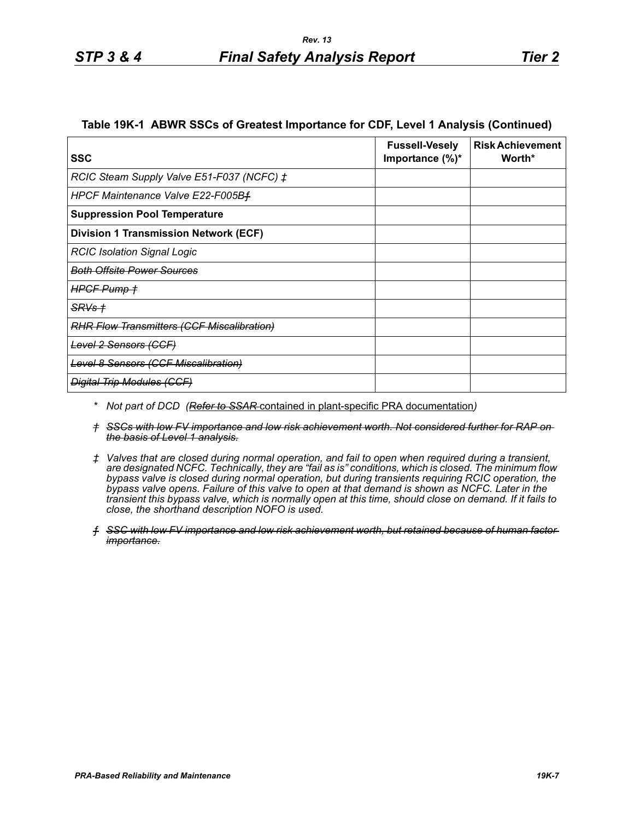#### **Table 19K-1 ABWR SSCs of Greatest Importance for CDF, Level 1 Analysis (Continued)**

| <b>SSC</b>                                         | <b>Fussell-Vesely</b><br>Importance $(\%)^*$ | <b>Risk Achievement</b><br>Worth* |
|----------------------------------------------------|----------------------------------------------|-----------------------------------|
| RCIC Steam Supply Valve E51-F037 (NCFC) $\ddagger$ |                                              |                                   |
| HPCF Maintenance Valve E22-F005Bf                  |                                              |                                   |
| <b>Suppression Pool Temperature</b>                |                                              |                                   |
| <b>Division 1 Transmission Network (ECF)</b>       |                                              |                                   |
| <b>RCIC Isolation Signal Logic</b>                 |                                              |                                   |
| <u>Both Offsite Power Sources</u>                  |                                              |                                   |
| HPGF Pump +                                        |                                              |                                   |
| $SRVs +$                                           |                                              |                                   |
| <b>RHR Flow Transmitters (CCF Miscalibration)</b>  |                                              |                                   |
| Level 2 Sensors (CCF)                              |                                              |                                   |
| <b>Level 8 Sensors (CCF Miscalibration)</b>        |                                              |                                   |
| <b>Digital Trip Modules (CCF)</b>                  |                                              |                                   |

- *\* Not part of DCD (Refer to SSAR* contained in plant-specific PRA documentation*)*
- *† SSCs with low FV importance and low risk achievement worth. Not considered further for RAP on the basis of Level 1 analysis.*
- *‡ Valves that are closed during normal operation, and fail to open when required during a transient, are designated NCFC. Technically, they are "fail as is" conditions, which is closed. The minimum flow bypass valve is closed during normal operation, but during transients requiring RCIC operation, the bypass valve opens. Failure of this valve to open at that demand is shown as NCFC. Later in the transient this bypass valve, which is normally open at this time, should close on demand. If it fails to close, the shorthand description NOFO is used.*
- *ƒ SSC with low FV importance and low risk achievement worth, but retained because of human factor importance.*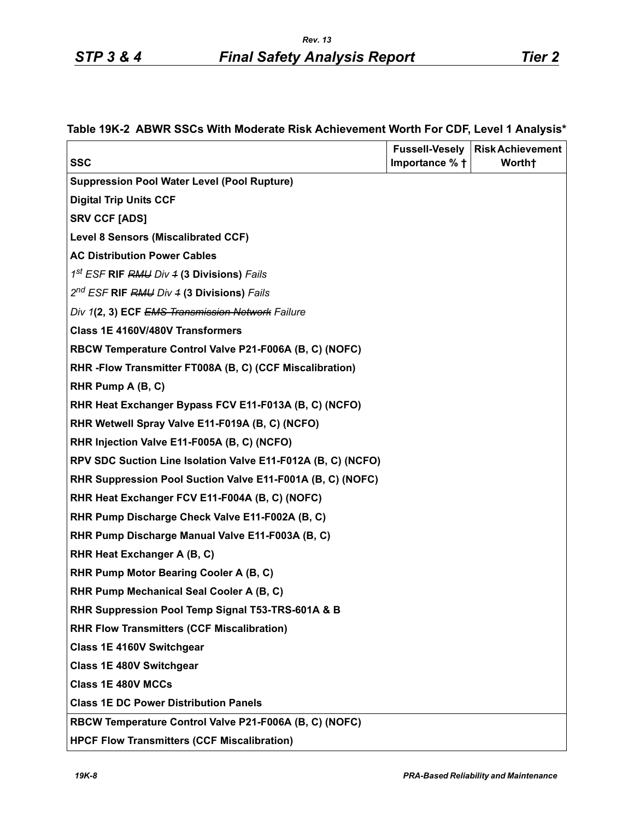|  |  |  | Table 19K-2 ABWR SSCs With Moderate Risk Achievement Worth For CDF, Level 1 Analysis* |  |  |  |
|--|--|--|---------------------------------------------------------------------------------------|--|--|--|
|--|--|--|---------------------------------------------------------------------------------------|--|--|--|

| <b>SSC</b>                                                   | <b>Fussell-Vesely</b><br>Importance % + | <b>Risk Achievement</b><br>Worth† |
|--------------------------------------------------------------|-----------------------------------------|-----------------------------------|
| <b>Suppression Pool Water Level (Pool Rupture)</b>           |                                         |                                   |
| <b>Digital Trip Units CCF</b>                                |                                         |                                   |
| <b>SRV CCF [ADS]</b>                                         |                                         |                                   |
| <b>Level 8 Sensors (Miscalibrated CCF)</b>                   |                                         |                                   |
| <b>AC Distribution Power Cables</b>                          |                                         |                                   |
| 1st ESF RIF RMU Div 4 (3 Divisions) Fails                    |                                         |                                   |
| 2 <sup>nd</sup> ESF RIF RMU Div 4 (3 Divisions) Fails        |                                         |                                   |
| Div 1(2, 3) ECF EMS Transmission Network Failure             |                                         |                                   |
| Class 1E 4160V/480V Transformers                             |                                         |                                   |
| RBCW Temperature Control Valve P21-F006A (B, C) (NOFC)       |                                         |                                   |
| RHR-Flow Transmitter FT008A (B, C) (CCF Miscalibration)      |                                         |                                   |
| RHR Pump A (B, C)                                            |                                         |                                   |
| RHR Heat Exchanger Bypass FCV E11-F013A (B, C) (NCFO)        |                                         |                                   |
| RHR Wetwell Spray Valve E11-F019A (B, C) (NCFO)              |                                         |                                   |
| RHR Injection Valve E11-F005A (B, C) (NCFO)                  |                                         |                                   |
| RPV SDC Suction Line Isolation Valve E11-F012A (B, C) (NCFO) |                                         |                                   |
| RHR Suppression Pool Suction Valve E11-F001A (B, C) (NOFC)   |                                         |                                   |
| RHR Heat Exchanger FCV E11-F004A (B, C) (NOFC)               |                                         |                                   |
| RHR Pump Discharge Check Valve E11-F002A (B, C)              |                                         |                                   |
| RHR Pump Discharge Manual Valve E11-F003A (B, C)             |                                         |                                   |
| RHR Heat Exchanger A (B, C)                                  |                                         |                                   |
| RHR Pump Motor Bearing Cooler A (B, C)                       |                                         |                                   |
| RHR Pump Mechanical Seal Cooler A (B, C)                     |                                         |                                   |
| RHR Suppression Pool Temp Signal T53-TRS-601A & B            |                                         |                                   |
| <b>RHR Flow Transmitters (CCF Miscalibration)</b>            |                                         |                                   |
| Class 1E 4160V Switchgear                                    |                                         |                                   |
| <b>Class 1E 480V Switchgear</b>                              |                                         |                                   |
| <b>Class 1E 480V MCCs</b>                                    |                                         |                                   |
| <b>Class 1E DC Power Distribution Panels</b>                 |                                         |                                   |
| RBCW Temperature Control Valve P21-F006A (B, C) (NOFC)       |                                         |                                   |
| <b>HPCF Flow Transmitters (CCF Miscalibration)</b>           |                                         |                                   |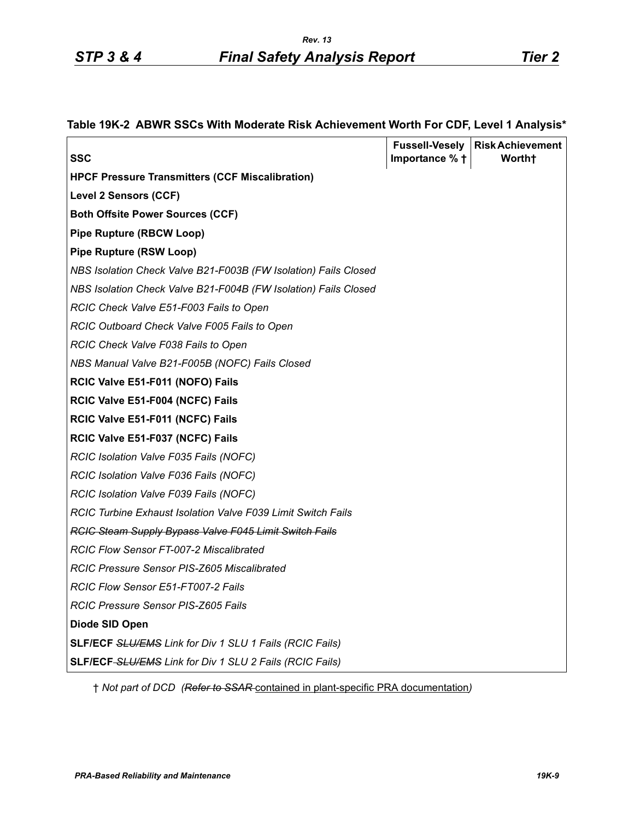| ×<br>۰, |  |
|---------|--|

| SSC                                                             | Importance % + | <b>Fussell-Vesely   Risk Achievement</b><br>Worth <sup>+</sup> |
|-----------------------------------------------------------------|----------------|----------------------------------------------------------------|
| <b>HPCF Pressure Transmitters (CCF Miscalibration)</b>          |                |                                                                |
| <b>Level 2 Sensors (CCF)</b>                                    |                |                                                                |
| <b>Both Offsite Power Sources (CCF)</b>                         |                |                                                                |
| <b>Pipe Rupture (RBCW Loop)</b>                                 |                |                                                                |
| <b>Pipe Rupture (RSW Loop)</b>                                  |                |                                                                |
| NBS Isolation Check Valve B21-F003B (FW Isolation) Fails Closed |                |                                                                |
| NBS Isolation Check Valve B21-F004B (FW Isolation) Fails Closed |                |                                                                |
| RCIC Check Valve E51-F003 Fails to Open                         |                |                                                                |
| RCIC Outboard Check Valve F005 Fails to Open                    |                |                                                                |
| RCIC Check Valve F038 Fails to Open                             |                |                                                                |
| NBS Manual Valve B21-F005B (NOFC) Fails Closed                  |                |                                                                |
| RCIC Valve E51-F011 (NOFO) Fails                                |                |                                                                |
| RCIC Valve E51-F004 (NCFC) Fails                                |                |                                                                |
| RCIC Valve E51-F011 (NCFC) Fails                                |                |                                                                |
| RCIC Valve E51-F037 (NCFC) Fails                                |                |                                                                |
| RCIC Isolation Valve F035 Fails (NOFC)                          |                |                                                                |
| RCIC Isolation Valve F036 Fails (NOFC)                          |                |                                                                |
| RCIC Isolation Valve F039 Fails (NOFC)                          |                |                                                                |
| RCIC Turbine Exhaust Isolation Valve F039 Limit Switch Fails    |                |                                                                |
| <b>RCIC Steam Supply Bypass Valve F045 Limit Switch Fails</b>   |                |                                                                |
| RCIC Flow Sensor FT-007-2 Miscalibrated                         |                |                                                                |
| RCIC Pressure Sensor PIS-Z605 Miscalibrated                     |                |                                                                |
| RCIC Flow Sensor E51-FT007-2 Fails                              |                |                                                                |
| <b>RCIC Pressure Sensor PIS-Z605 Fails</b>                      |                |                                                                |
| Diode SID Open                                                  |                |                                                                |
| <b>SLF/ECF SLU/EMS Link for Div 1 SLU 1 Fails (RCIC Fails)</b>  |                |                                                                |
| SLF/ECF-SLU/EMS Link for Div 1 SLU 2 Fails (RCIC Fails)         |                |                                                                |

## **Table 19K-2 ABWR SSCs With Moderate Risk Achievement Worth For CDF, Level 1 Analysis\***

† *Not part of DCD (Refer to SSAR* contained in plant-specific PRA documentation*)*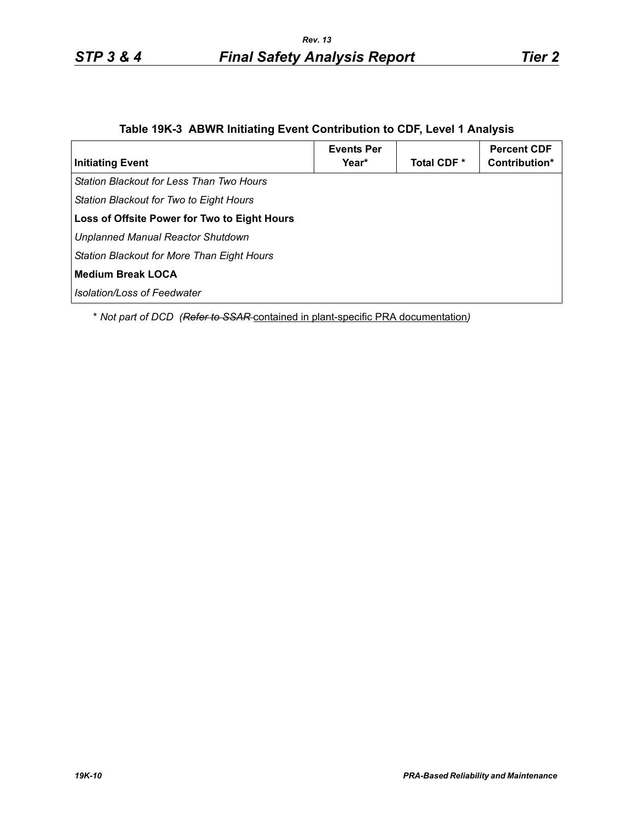# **Table 19K-3 ABWR Initiating Event Contribution to CDF, Level 1 Analysis**

| <b>Initiating Event</b>                         | <b>Events Per</b><br>Year* | Total CDF <sup>*</sup> | <b>Percent CDF</b><br>Contribution* |
|-------------------------------------------------|----------------------------|------------------------|-------------------------------------|
| <b>Station Blackout for Less Than Two Hours</b> |                            |                        |                                     |
| Station Blackout for Two to Eight Hours         |                            |                        |                                     |
| Loss of Offsite Power for Two to Eight Hours    |                            |                        |                                     |
| <b>Unplanned Manual Reactor Shutdown</b>        |                            |                        |                                     |
| Station Blackout for More Than Eight Hours      |                            |                        |                                     |
| Medium Break LOCA                               |                            |                        |                                     |
| Isolation/Loss of Feedwater                     |                            |                        |                                     |

\* *Not part of DCD (Refer to SSAR* contained in plant-specific PRA documentation*)*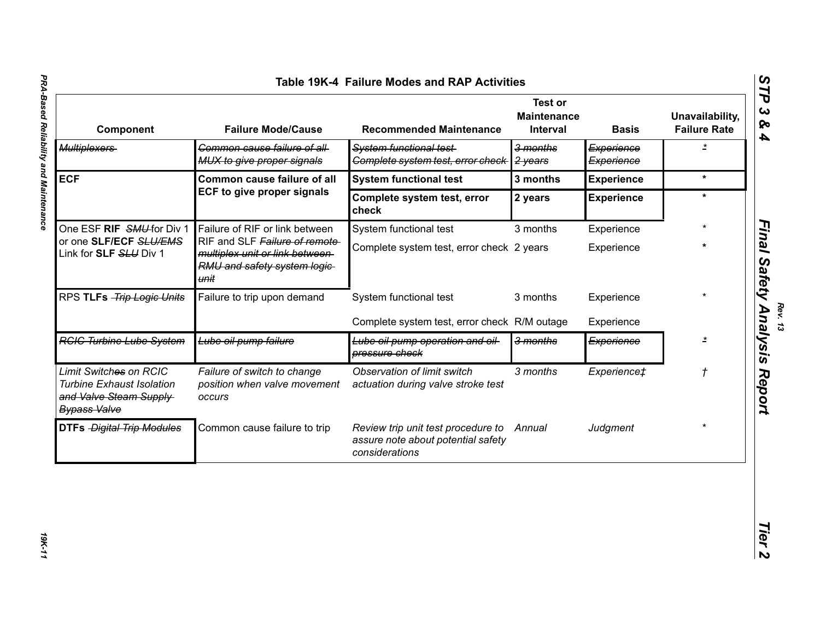| Table 19K-4 Failure Modes and RAP Activities                                                                |                                                                                                          |                                                                                            |                                                  |                          |                                        |
|-------------------------------------------------------------------------------------------------------------|----------------------------------------------------------------------------------------------------------|--------------------------------------------------------------------------------------------|--------------------------------------------------|--------------------------|----------------------------------------|
| Component                                                                                                   | <b>Failure Mode/Cause</b>                                                                                | <b>Recommended Maintenance</b>                                                             | <b>Test or</b><br><b>Maintenance</b><br>Interval | <b>Basis</b>             | Unavailability,<br><b>Failure Rate</b> |
| <b>Multiplexers</b>                                                                                         | Common cause failure of all-<br>MUX to give proper signals                                               | <b>System functional test-</b><br>Complete system test, error check                        | 3 months<br>2 years                              | Experience<br>Experience | $\overline{z}$                         |
| <b>ECF</b>                                                                                                  | Common cause failure of all                                                                              | <b>System functional test</b>                                                              | 3 months                                         | <b>Experience</b>        | $\star$                                |
|                                                                                                             | <b>ECF to give proper signals</b>                                                                        | Complete system test, error<br>check                                                       | 2 years                                          | <b>Experience</b>        | $\star$                                |
| One ESF RIF SMU-for Div 1                                                                                   | Failure of RIF or link between                                                                           | System functional test                                                                     | 3 months                                         | Experience               |                                        |
| or one SLF/ECF SLU/EMS<br>Link for SLF SLU Div 1                                                            | RIF and SLF Failure of remote<br>multiplex unit or link between-<br>RMU and safety system logic-<br>unit | Complete system test, error check 2 years                                                  |                                                  | Experience               |                                        |
| RPS TLFs -Trip Logic Units                                                                                  | Failure to trip upon demand                                                                              | System functional test                                                                     | 3 months                                         | Experience               |                                        |
|                                                                                                             |                                                                                                          | Complete system test, error check R/M outage                                               |                                                  | Experience               |                                        |
| <b>RGIG Turbine Lube System</b>                                                                             | Lube oil pump failure                                                                                    | Lube oil pump operation and oil<br>pressure check                                          | 3 months                                         | Experience               | $\star$                                |
| Limit Switches on RCIC<br><b>Turbine Exhaust Isolation</b><br>and Valve Steam Supply<br><b>Bypass Valve</b> | Failure of switch to change<br>position when valve movement<br>occurs                                    | Observation of limit switch<br>actuation during valve stroke test                          | 3 months                                         | Experience‡              | $\mathcal{L}_{\mathcal{A}}$            |
| <b>DTFs</b> - Digital Trip Modules                                                                          | Common cause failure to trip                                                                             | Review trip unit test procedure to<br>assure note about potential safety<br>considerations | Annual                                           | Judgment                 |                                        |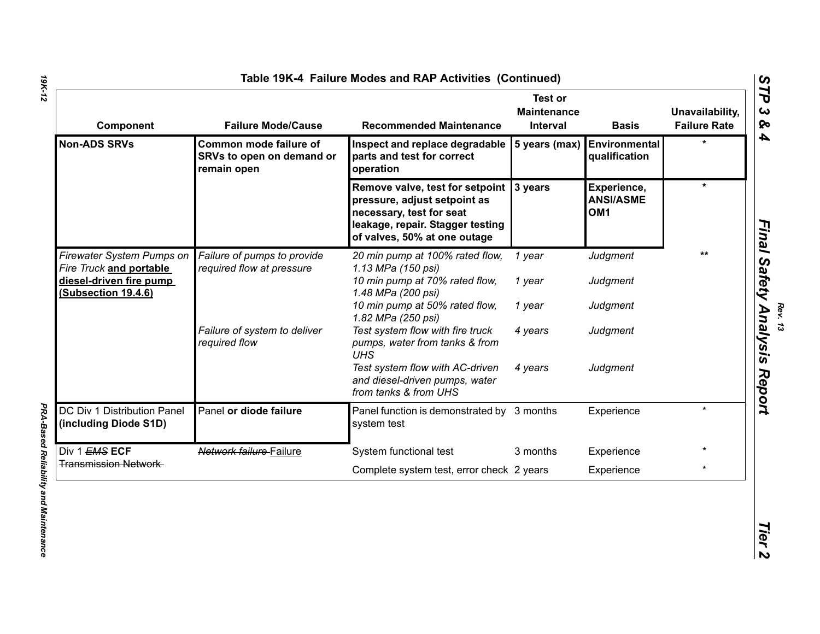| Component                                                                 | <b>Failure Mode/Cause</b>                                          | <b>Recommended Maintenance</b>                                                                                                                                  | <b>Test or</b><br><b>Maintenance</b><br>Interval | <b>Basis</b>                                       | Unavailability,<br><b>Failure Rate</b> |
|---------------------------------------------------------------------------|--------------------------------------------------------------------|-----------------------------------------------------------------------------------------------------------------------------------------------------------------|--------------------------------------------------|----------------------------------------------------|----------------------------------------|
| <b>Non-ADS SRVs</b>                                                       | Common mode failure of<br>SRVs to open on demand or<br>remain open | Inspect and replace degradable<br>parts and test for correct<br>operation                                                                                       | 5 years (max)                                    | <b>Environmental</b><br>qualification              |                                        |
|                                                                           |                                                                    | Remove valve, test for setpoint<br>pressure, adjust setpoint as<br>necessary, test for seat<br>leakage, repair. Stagger testing<br>of valves, 50% at one outage | 3 years                                          | Experience,<br><b>ANSI/ASME</b><br>OM <sub>1</sub> | $\star$                                |
| Firewater System Pumps on                                                 | Failure of pumps to provide<br>required flow at pressure           | 20 min pump at 100% rated flow,<br>1.13 MPa (150 psi)                                                                                                           | 1 year                                           | Judgment                                           | **                                     |
| Fire Truck and portable<br>diesel-driven fire pump<br>(Subsection 19.4.6) |                                                                    | 10 min pump at 70% rated flow,<br>1.48 MPa (200 psi)                                                                                                            | 1 year                                           | Judgment                                           |                                        |
|                                                                           |                                                                    | 10 min pump at 50% rated flow,<br>1.82 MPa (250 psi)                                                                                                            | 1 year                                           | Judgment                                           |                                        |
|                                                                           | Failure of system to deliver<br>required flow                      | Test system flow with fire truck<br>pumps, water from tanks & from<br><b>UHS</b>                                                                                | 4 years                                          | Judgment                                           |                                        |
|                                                                           |                                                                    | Test system flow with AC-driven<br>and diesel-driven pumps, water<br>from tanks & from UHS                                                                      | 4 years                                          | Judgment                                           |                                        |
| DC Div 1 Distribution Panel<br>(including Diode S1D)                      | Panel or diode failure                                             | Panel function is demonstrated by 3 months<br>system test                                                                                                       |                                                  | Experience                                         | $\star$                                |
| Div 1 EMS ECF                                                             | Network failure Failure                                            | System functional test                                                                                                                                          | 3 months                                         | Experience                                         |                                        |
| <b>Transmission Network</b>                                               |                                                                    | Complete system test, error check 2 years                                                                                                                       |                                                  | Experience                                         | $\star$                                |

*Rev. 13*<br>**fety Analvsis**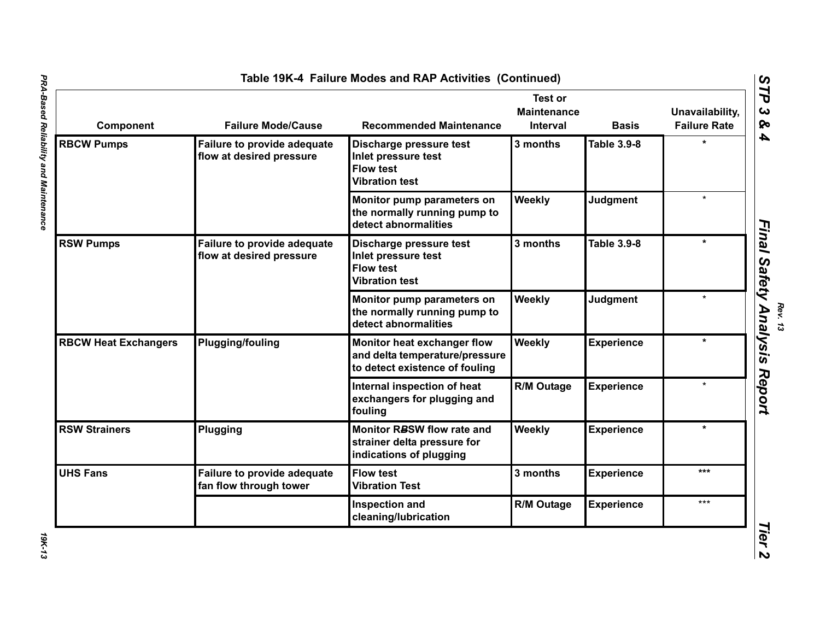| Component                   | <b>Failure Mode/Cause</b>                                      | <b>Recommended Maintenance</b>                                                                  | <b>Test or</b><br><b>Maintenance</b><br><b>Interval</b> | <b>Basis</b>      | Unavailability,<br><b>Failure Rate</b> |
|-----------------------------|----------------------------------------------------------------|-------------------------------------------------------------------------------------------------|---------------------------------------------------------|-------------------|----------------------------------------|
| <b>RBCW Pumps</b>           | <b>Failure to provide adequate</b><br>flow at desired pressure | Discharge pressure test<br>Inlet pressure test<br><b>Flow test</b><br><b>Vibration test</b>     | 3 months                                                | Table 3.9-8       |                                        |
|                             |                                                                | Monitor pump parameters on<br>the normally running pump to<br>detect abnormalities              | Weekly                                                  | Judgment          | $\bullet$                              |
| <b>RSW Pumps</b>            | Failure to provide adequate<br>flow at desired pressure        | Discharge pressure test<br>Inlet pressure test<br><b>Flow test</b><br><b>Vibration test</b>     | 3 months                                                | Table 3.9-8       |                                        |
|                             |                                                                | Monitor pump parameters on<br>the normally running pump to<br>detect abnormalities              | Weekly                                                  | Judgment          | $\star$                                |
| <b>RBCW Heat Exchangers</b> | <b>Plugging/fouling</b>                                        | Monitor heat exchanger flow<br>and delta temperature/pressure<br>to detect existence of fouling | Weekly                                                  | <b>Experience</b> | $\star$                                |
|                             |                                                                | Internal inspection of heat<br>exchangers for plugging and<br>fouling                           | <b>R/M Outage</b>                                       | <b>Experience</b> |                                        |
| <b>RSW Strainers</b>        | Plugging                                                       | Monitor RBSW flow rate and<br>strainer delta pressure for<br>indications of plugging            | Weekly                                                  | <b>Experience</b> | $\star$                                |
| <b>UHS Fans</b>             | <b>Failure to provide adequate</b><br>fan flow through tower   | <b>Flow test</b><br><b>Vibration Test</b>                                                       | 3 months                                                | <b>Experience</b> | ***                                    |
|                             |                                                                | Inspection and<br>cleaning/lubrication                                                          | R/M Outage                                              | <b>Experience</b> | $***$                                  |

*Rev. 13*

19K-13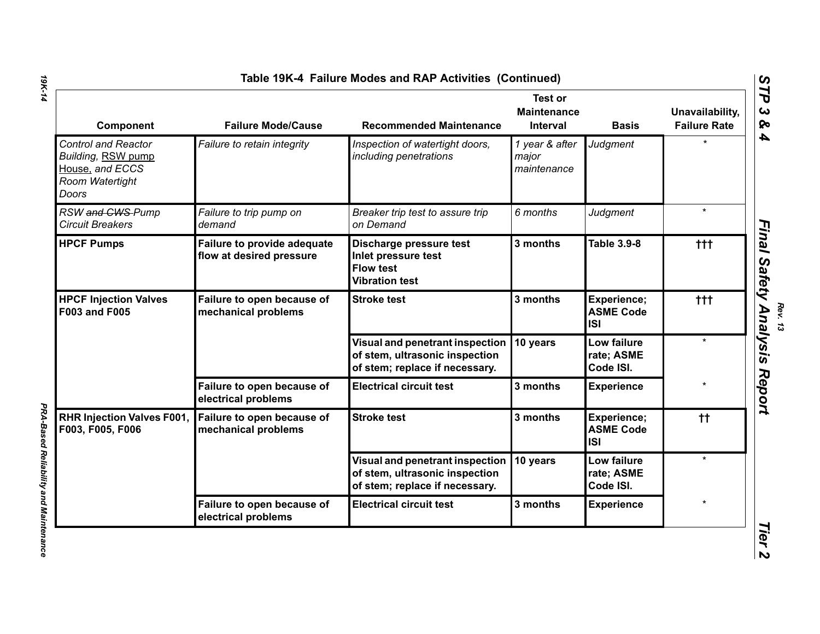| Component                                                                                       | <b>Failure Mode/Cause</b>                               | <b>Recommended Maintenance</b>                                                                      | <b>Test or</b><br><b>Maintenance</b><br><b>Interval</b> | <b>Basis</b>                                         | Unavailability,<br><b>Failure Rate</b> |
|-------------------------------------------------------------------------------------------------|---------------------------------------------------------|-----------------------------------------------------------------------------------------------------|---------------------------------------------------------|------------------------------------------------------|----------------------------------------|
| <b>Control and Reactor</b><br>Building, RSW pump<br>House, and ECCS<br>Room Watertight<br>Doors | Failure to retain integrity                             | Inspection of watertight doors,<br>including penetrations                                           | 1 year & after<br>major<br>maintenance                  | Judgment                                             |                                        |
| RSW and CWS-Pump<br><b>Circuit Breakers</b>                                                     | Failure to trip pump on<br>demand                       | Breaker trip test to assure trip<br>on Demand                                                       | 6 months                                                | Judgment                                             | $\star$                                |
| <b>HPCF Pumps</b>                                                                               | Failure to provide adequate<br>flow at desired pressure | Discharge pressure test<br>Inlet pressure test<br><b>Flow test</b><br><b>Vibration test</b>         | 3 months                                                | <b>Table 3.9-8</b>                                   | $+ + +$                                |
| <b>HPCF Injection Valves</b><br><b>F003 and F005</b>                                            | Failure to open because of<br>mechanical problems       | <b>Stroke test</b>                                                                                  | 3 months                                                | Experience;<br><b>ASME Code</b><br><b>ISI</b>        | $+ + +$                                |
|                                                                                                 |                                                         | Visual and penetrant inspection<br>of stem, ultrasonic inspection<br>of stem; replace if necessary. | 10 years                                                | Low failure<br>rate; ASME<br>Code ISI.               | $\star$                                |
|                                                                                                 | Failure to open because of<br>electrical problems       | <b>Electrical circuit test</b>                                                                      | 3 months                                                | <b>Experience</b>                                    |                                        |
| <b>RHR Injection Valves F001,</b><br>F003, F005, F006                                           | Failure to open because of<br>mechanical problems       | <b>Stroke test</b>                                                                                  | 3 months                                                | <b>Experience;</b><br><b>ASME Code</b><br><b>ISI</b> | $^{\dagger\dagger}$                    |
|                                                                                                 |                                                         | Visual and penetrant inspection<br>of stem, ultrasonic inspection<br>of stem; replace if necessary. | 10 years                                                | Low failure<br>rate; ASME<br>Code ISI.               | $\star$                                |
|                                                                                                 | Failure to open because of<br>electrical problems       | <b>Electrical circuit test</b>                                                                      | 3 months                                                | <b>Experience</b>                                    |                                        |

**PRA-Based Reliability and Maintenance** *PRA-Based Reliability and Maintenance* 

**Rev. 13**<br>Rev. 13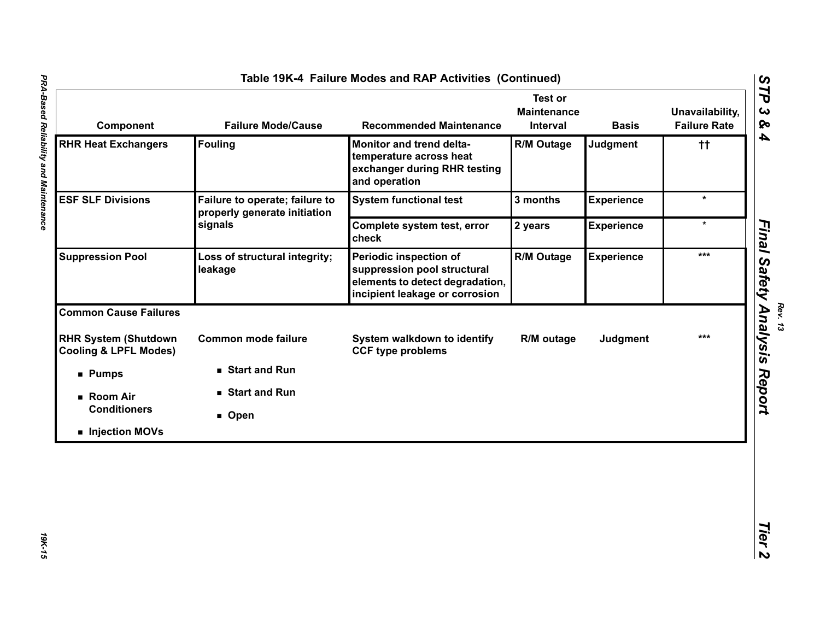| Component                                                       | <b>Failure Mode/Cause</b>                                      | <b>Recommended Maintenance</b>                                                                                             | <b>Test or</b><br><b>Maintenance</b><br>Interval | <b>Basis</b>      | Unavailability,<br><b>Failure Rate</b> |
|-----------------------------------------------------------------|----------------------------------------------------------------|----------------------------------------------------------------------------------------------------------------------------|--------------------------------------------------|-------------------|----------------------------------------|
| <b>RHR Heat Exchangers</b>                                      | <b>Fouling</b>                                                 | Monitor and trend delta-<br>temperature across heat<br>exchanger during RHR testing<br>and operation                       | R/M Outage                                       | Judgment          | $\ddagger$                             |
| <b>ESF SLF Divisions</b>                                        | Failure to operate; failure to<br>properly generate initiation | <b>System functional test</b>                                                                                              | 3 months                                         | <b>Experience</b> | $\star$                                |
|                                                                 | signals                                                        | Complete system test, error<br>check                                                                                       | 2 years                                          | <b>Experience</b> | $\star$                                |
| <b>Suppression Pool</b>                                         | Loss of structural integrity;<br>leakage                       | Periodic inspection of<br>suppression pool structural<br>elements to detect degradation,<br>incipient leakage or corrosion | <b>R/M Outage</b>                                | <b>Experience</b> | ***                                    |
| <b>Common Cause Failures</b>                                    |                                                                |                                                                                                                            |                                                  |                   |                                        |
| <b>RHR System (Shutdown</b><br><b>Cooling &amp; LPFL Modes)</b> | <b>Common mode failure</b>                                     | System walkdown to identify<br><b>CCF type problems</b>                                                                    | R/M outage                                       | Judgment          | $***$                                  |
| <b>Pumps</b>                                                    | ■ Start and Run                                                |                                                                                                                            |                                                  |                   |                                        |
| ■ Room Air                                                      | Start and Run                                                  |                                                                                                                            |                                                  |                   |                                        |
| <b>Conditioners</b>                                             | Open                                                           |                                                                                                                            |                                                  |                   |                                        |
| Injection MOVs                                                  |                                                                |                                                                                                                            |                                                  |                   |                                        |

T

**19K-15**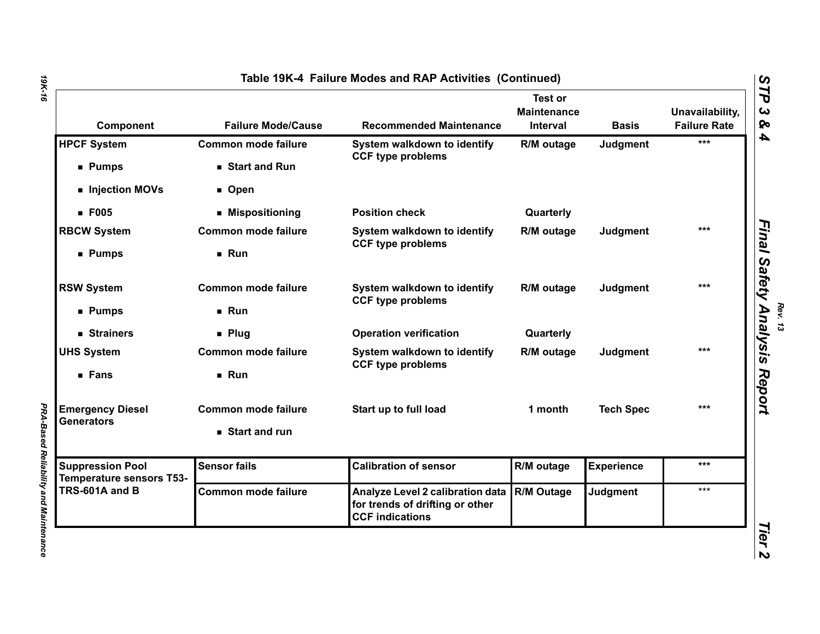| Component                                                                    | <b>Failure Mode/Cause</b>  | <b>Recommended Maintenance</b>                                                                | <b>Test or</b><br><b>Maintenance</b><br>Interval | <b>Basis</b>      | Unavailability,<br><b>Failure Rate</b> |
|------------------------------------------------------------------------------|----------------------------|-----------------------------------------------------------------------------------------------|--------------------------------------------------|-------------------|----------------------------------------|
| <b>HPCF System</b>                                                           | <b>Common mode failure</b> | System walkdown to identify<br><b>CCF type problems</b>                                       | R/M outage                                       | <b>Judgment</b>   | ***                                    |
| <b>Pumps</b>                                                                 | Start and Run              |                                                                                               |                                                  |                   |                                        |
| Injection MOVs                                                               | ■ Open                     |                                                                                               |                                                  |                   |                                        |
| <b>F005</b>                                                                  | ■ Mispositioning           | <b>Position check</b>                                                                         | Quarterly                                        |                   |                                        |
| <b>RBCW System</b>                                                           | <b>Common mode failure</b> | System walkdown to identify<br><b>CCF type problems</b>                                       | R/M outage                                       | Judgment          | ***                                    |
| ■ Pumps                                                                      | Run                        |                                                                                               |                                                  |                   |                                        |
| <b>RSW System</b>                                                            | <b>Common mode failure</b> | System walkdown to identify<br><b>CCF type problems</b>                                       | R/M outage                                       | Judgment          | ***                                    |
| ■ Pumps                                                                      | Run                        |                                                                                               |                                                  |                   |                                        |
| ■ Strainers                                                                  | $\blacksquare$ Plug        | <b>Operation verification</b>                                                                 | Quarterly                                        |                   |                                        |
| <b>UHS System</b>                                                            | <b>Common mode failure</b> | System walkdown to identify<br><b>CCF type problems</b>                                       | R/M outage                                       | Judgment          | ***                                    |
| ■ Fans                                                                       | Run                        |                                                                                               |                                                  |                   |                                        |
| <b>Emergency Diesel</b><br><b>Generators</b>                                 | <b>Common mode failure</b> | Start up to full load                                                                         | 1 month                                          | <b>Tech Spec</b>  | $***$                                  |
|                                                                              | Start and run              |                                                                                               |                                                  |                   |                                        |
| <b>Suppression Pool</b><br><b>Temperature sensors T53-</b><br>TRS-601A and B | <b>Sensor fails</b>        | <b>Calibration of sensor</b>                                                                  | R/M outage                                       | <b>Experience</b> | ***                                    |
|                                                                              | <b>Common mode failure</b> | Analyze Level 2 calibration data<br>for trends of drifting or other<br><b>CCF indications</b> | <b>R/M Outage</b>                                | <b>Judgment</b>   | $***$                                  |

**PRA-Based Reliability and Maintenance** *PRA-Based Reliability and Maintenance*